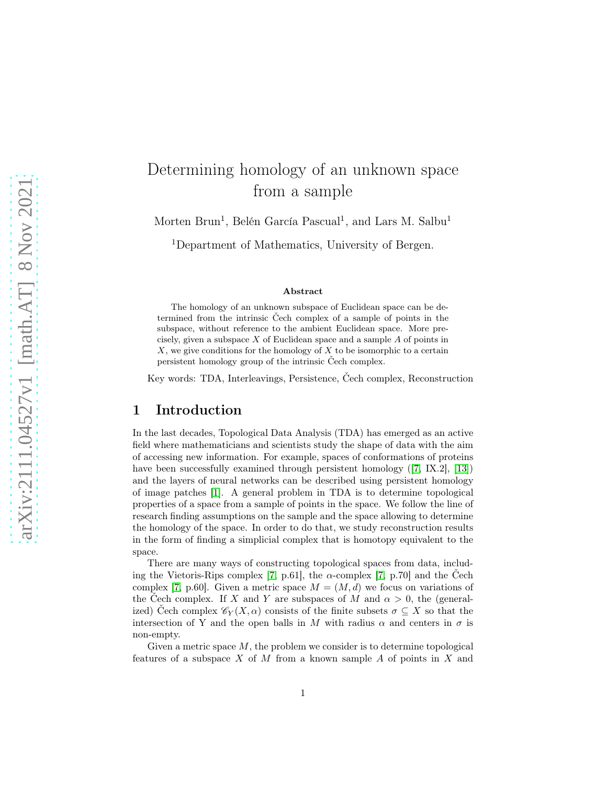# Determining homology of an unknown space from a sample

Morten Brun<sup>1</sup>, Belén García Pascual<sup>1</sup>, and Lars M. Salbu<sup>1</sup>

<sup>1</sup>Department of Mathematics, University of Bergen.

#### Abstract

The homology of an unknown subspace of Euclidean space can be determined from the intrinsic Čech complex of a sample of points in the subspace, without reference to the ambient Euclidean space. More precisely, given a subspace  $X$  of Euclidean space and a sample  $A$  of points in X, we give conditions for the homology of X to be isomorphic to a certain persistent homology group of the intrinsic Čech complex.

Key words: TDA, Interleavings, Persistence, Čech complex, Reconstruction

#### 1 Introduction

In the last decades, Topological Data Analysis (TDA) has emerged as an active field where mathematicians and scientists study the shape of data with the aim of accessing new information. For example, spaces of conformations of proteins have been successfully examined through persistent homology ([\[7,](#page-15-0) IX.2], [\[13\]](#page-15-1)) and the layers of neural networks can be described using persistent homology of image patches [\[1\]](#page-14-0). A general problem in TDA is to determine topological properties of a space from a sample of points in the space. We follow the line of research finding assumptions on the sample and the space allowing to determine the homology of the space. In order to do that, we study reconstruction results in the form of finding a simplicial complex that is homotopy equivalent to the space.

There are many ways of constructing topological spaces from data, includ-ing the Vietoris-Rips complex [\[7,](#page-15-0) p.61], the  $\alpha$ -complex [7, p.70] and the Cech complex [\[7,](#page-15-0) p.60]. Given a metric space  $M = (M, d)$  we focus on variations of the Čech complex. If X and Y are subspaces of M and  $\alpha > 0$ , the (generalized) Čech complex  $\mathscr{C}_Y(X,\alpha)$  consists of the finite subsets  $\sigma \subseteq X$  so that the intersection of Y and the open balls in M with radius  $\alpha$  and centers in  $\sigma$  is non-empty.

Given a metric space  $M$ , the problem we consider is to determine topological features of a subspace  $X$  of  $M$  from a known sample  $A$  of points in  $X$  and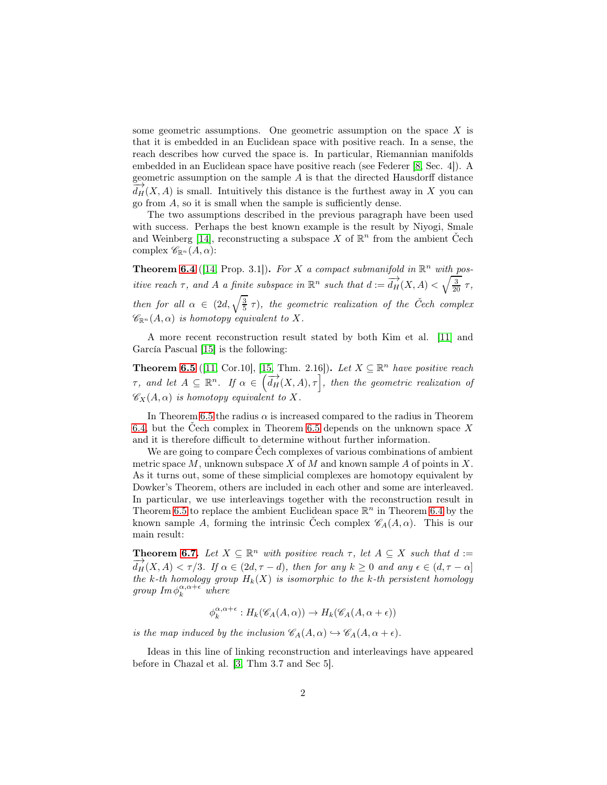some geometric assumptions. One geometric assumption on the space X is that it is embedded in an Euclidean space with positive reach. In a sense, the reach describes how curved the space is. In particular, Riemannian manifolds embedded in an Euclidean space have positive reach (see Federer [\[8,](#page-15-2) Sec. 4]). A geometric assumption on the sample  $A$  is that the directed Hausdorff distance  $d_H(X, A)$  is small. Intuitively this distance is the furthest away in X you can go from A, so it is small when the sample is sufficiently dense.

The two assumptions described in the previous paragraph have been used with success. Perhaps the best known example is the result by Niyogi, Smale and Weinberg [\[14\]](#page-15-3), reconstructing a subspace X of  $\mathbb{R}^n$  from the ambient Čech complex  $\mathscr{C}_{\mathbb{R}^n}(A,\alpha)$ :

**Theorem [6.4](#page-10-0)** ([\[14,](#page-15-3) Prop. 3.1]). For X a compact submanifold in  $\mathbb{R}^n$  with positive reach  $\tau$ , and A a finite subspace in  $\mathbb{R}^n$  such that  $d := \frac{d}{d}H(X, A) < \sqrt{\frac{3}{20}} \tau$ , then for all  $\alpha \in (2d, \sqrt{\frac{3}{5}} \tau)$ , the geometric realization of the Čech complex  $\mathscr{C}_{\mathbb{R}^n}(A,\alpha)$  is homotopy equivalent to X.

A more recent reconstruction result stated by both Kim et al. [\[11\]](#page-15-4) and García Pascual [\[15\]](#page-15-5) is the following:

**Theorem [6.5](#page-11-0)** ([\[11,](#page-15-4) Cor.10], [\[15,](#page-15-5) Thm. 2.16]). Let  $X \subseteq \mathbb{R}^n$  have positive reach  $\tau$ , and let  $A \subseteq \mathbb{R}^n$ . If  $\alpha \in (\overrightarrow{d_H}(X, A), \tau]$ , then the geometric realization of  $\mathscr{C}_X(A, \alpha)$  is homotopy equivalent to X.

In Theorem [6.5](#page-11-0) the radius  $\alpha$  is increased compared to the radius in Theorem [6.4,](#page-10-0) but the Čech complex in Theorem [6.5](#page-11-0) depends on the unknown space X and it is therefore difficult to determine without further information.

We are going to compare Čech complexes of various combinations of ambient metric space  $M$ , unknown subspace  $X$  of  $M$  and known sample  $A$  of points in  $X$ . As it turns out, some of these simplicial complexes are homotopy equivalent by Dowker's Theorem, others are included in each other and some are interleaved. In particular, we use interleavings together with the reconstruction result in Theorem [6.5](#page-11-0) to replace the ambient Euclidean space  $\mathbb{R}^n$  in Theorem [6.4](#page-10-0) by the known sample A, forming the intrinsic Čech complex  $\mathscr{C}_A(A, \alpha)$ . This is our main result:

**Theorem [6.7.](#page-11-1)** Let  $X \subseteq \mathbb{R}^n$  with positive reach  $\tau$ , let  $A \subseteq X$  such that  $d :=$  $\overrightarrow{d_H}(X,A) < \tau/3$ . If  $\alpha \in (2d, \tau - d)$ , then for any  $k \geq 0$  and any  $\epsilon \in (d, \tau - \alpha]$ the k-th homology group  $H_k(X)$  is isomorphic to the k-th persistent homology group  $\text{Im}\,\phi_k^{\alpha,\alpha+\epsilon}$  where

$$
\phi_k^{\alpha,\alpha+\epsilon}:H_k(\mathscr{C}_A(A,\alpha))\to H_k(\mathscr{C}_A(A,\alpha+\epsilon))
$$

is the map induced by the inclusion  $\mathscr{C}_A(A,\alpha) \hookrightarrow \mathscr{C}_A(A,\alpha + \epsilon)$ .

Ideas in this line of linking reconstruction and interleavings have appeared before in Chazal et al. [\[3,](#page-14-1) Thm 3.7 and Sec 5].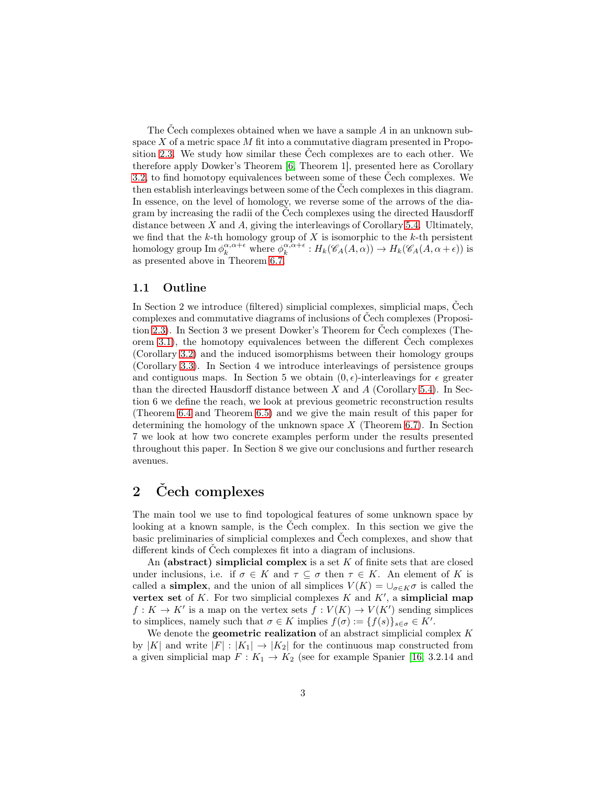The Cech complexes obtained when we have a sample  $A$  in an unknown subspace  $X$  of a metric space  $M$  fit into a commutative diagram presented in Proposition [2.3.](#page-4-0) We study how similar these Čech complexes are to each other. We therefore apply Dowker's Theorem [\[6,](#page-14-2) Theorem 1], presented here as Corollary [3.2,](#page-5-0) to find homotopy equivalences between some of these Čech complexes. We then establish interleavings between some of the Čech complexes in this diagram. In essence, on the level of homology, we reverse some of the arrows of the diagram by increasing the radii of the Čech complexes using the directed Hausdorff distance between  $X$  and  $A$ , giving the interleavings of Corollary [5.4.](#page-9-0) Ultimately, we find that the  $k$ -th homology group of  $X$  is isomorphic to the  $k$ -th persistent homology group  $\text{Im } \phi_k^{\alpha, \alpha + \epsilon}$  where  $\phi_k^{\alpha, \alpha + \epsilon} : H_k(\mathscr{C}_A(A, \alpha)) \to H_k(\mathscr{C}_A(A, \alpha + \epsilon))$  is as presented above in Theorem [6.7.](#page-11-1)

#### 1.1 Outline

In Section 2 we introduce (filtered) simplicial complexes, simplicial maps, Čech complexes and commutative diagrams of inclusions of Čech complexes (Proposition [2.3\)](#page-4-0). In Section 3 we present Dowker's Theorem for Čech complexes (Theorem [3.1\)](#page-4-1), the homotopy equivalences between the different Čech complexes (Corollary [3.2\)](#page-5-0) and the induced isomorphisms between their homology groups (Corollary [3.3\)](#page-5-1). In Section 4 we introduce interleavings of persistence groups and contiguous maps. In Section 5 we obtain  $(0, \epsilon)$ -interleavings for  $\epsilon$  greater than the directed Hausdorff distance between X and A (Corollary [5.4\)](#page-9-0). In Section 6 we define the reach, we look at previous geometric reconstruction results (Theorem [6.4](#page-10-0) and Theorem [6.5\)](#page-11-0) and we give the main result of this paper for determining the homology of the unknown space  $X$  (Theorem [6.7\)](#page-11-1). In Section 7 we look at how two concrete examples perform under the results presented throughout this paper. In Section 8 we give our conclusions and further research avenues.

# 2 Čech complexes

The main tool we use to find topological features of some unknown space by looking at a known sample, is the Čech complex. In this section we give the basic preliminaries of simplicial complexes and Čech complexes, and show that different kinds of Čech complexes fit into a diagram of inclusions.

An (abstract) simplicial complex is a set  $K$  of finite sets that are closed under inclusions, i.e. if  $\sigma \in K$  and  $\tau \subseteq \sigma$  then  $\tau \in K$ . An element of K is called a **simplex**, and the union of all simplices  $V(K) = \bigcup_{\sigma \in K} \sigma$  is called the vertex set of  $K$ . For two simplicial complexes  $K$  and  $K'$ , a simplicial map  $f: K \to K'$  is a map on the vertex sets  $f: V(K) \to V(K')$  sending simplices to simplices, namely such that  $\sigma \in K$  implies  $f(\sigma) := \{f(s)\}_{s \in \sigma} \in K'.$ 

We denote the **geometric realization** of an abstract simplicial complex  $K$ by |K| and write  $|F| : |K_1| \to |K_2|$  for the continuous map constructed from a given simplicial map  $F: K_1 \to K_2$  (see for example Spanier [\[16,](#page-15-6) 3.2.14 and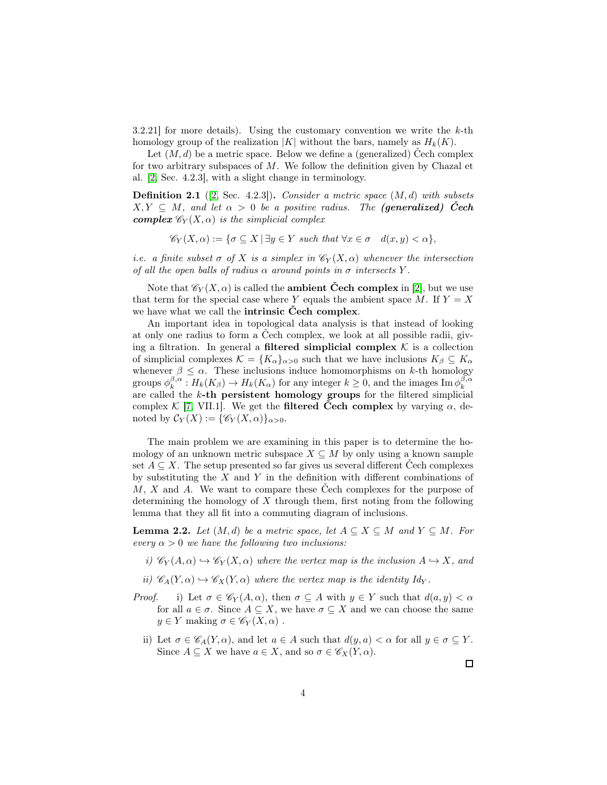3.2.21] for more details). Using the customary convention we write the  $k$ -th homology group of the realization  $|K|$  without the bars, namely as  $H_k(K)$ .

Let  $(M, d)$  be a metric space. Below we define a (generalized) Cech complex for two arbitrary subspaces of  $M$ . We follow the definition given by Chazal et al. [\[2,](#page-14-3) Sec. 4.2.3], with a slight change in terminology.

**Definition 2.1** ([\[2,](#page-14-3) Sec. 4.2.3]). Consider a metric space  $(M, d)$  with subsets  $X, Y \subseteq M$ , and let  $\alpha > 0$  be a positive radius. The (generalized) Čech **complex**  $\mathscr{C}_Y(X, \alpha)$  is the simplicial complex

$$
\mathscr{C}_Y(X,\alpha) := \{ \sigma \subseteq X \mid \exists y \in Y \text{ such that } \forall x \in \sigma \quad d(x,y) < \alpha \},
$$

i.e. a finite subset  $\sigma$  of X is a simplex in  $\mathcal{C}_Y(X, \alpha)$  whenever the intersection of all the open balls of radius  $\alpha$  around points in  $\sigma$  intersects Y.

Note that  $\mathscr{C}_Y(X,\alpha)$  is called the **ambient Čech complex** in [\[2\]](#page-14-3), but we use that term for the special case where Y equals the ambient space M. If  $Y = X$ we have what we call the intrinsic Čech complex.

An important idea in topological data analysis is that instead of looking at only one radius to form a Čech complex, we look at all possible radii, giving a filtration. In general a **filtered simplicial complex**  $K$  is a collection of simplicial complexes  $\mathcal{K} = \{K_{\alpha}\}_{{\alpha}>0}$  such that we have inclusions  $K_{\beta} \subseteq K_{\alpha}$ whenever  $\beta \leq \alpha$ . These inclusions induce homomorphisms on k-th homology groups  $\phi_k^{\beta,\alpha}: H_k(K_\beta) \to H_k(K_\alpha)$  for any integer  $k \geq 0$ , and the images  $\text{Im } \phi_k^{\beta,\alpha}$ are called the  $k$ -th persistent homology groups for the filtered simplicial complex K [\[7,](#page-15-0) VII.1]. We get the **filtered Čech complex** by varying  $\alpha$ , denoted by  $\mathcal{C}_Y(X) := \{ \mathscr{C}_Y(X, \alpha) \}_{\alpha > 0}.$ 

The main problem we are examining in this paper is to determine the homology of an unknown metric subspace  $X \subseteq M$  by only using a known sample set  $A \subseteq X$ . The setup presented so far gives us several different Cech complexes by substituting the  $X$  and  $Y$  in the definition with different combinations of  $M, X$  and  $A$ . We want to compare these Čech complexes for the purpose of determining the homology of  $X$  through them, first noting from the following lemma that they all fit into a commuting diagram of inclusions.

<span id="page-3-0"></span>**Lemma 2.2.** Let  $(M, d)$  be a metric space, let  $A \subseteq X \subseteq M$  and  $Y \subseteq M$ . For every  $\alpha > 0$  we have the following two inclusions:

- i)  $\mathscr{C}_Y(A,\alpha) \hookrightarrow \mathscr{C}_Y(X,\alpha)$  where the vertex map is the inclusion  $A \hookrightarrow X$ , and
- ii)  $\mathscr{C}_A(Y, \alpha) \hookrightarrow \mathscr{C}_X(Y, \alpha)$  where the vertex map is the identity  $Id_Y$ .
- *Proof.* i) Let  $\sigma \in \mathcal{C}_Y(A, \alpha)$ , then  $\sigma \subseteq A$  with  $y \in Y$  such that  $d(a, y) < \alpha$ for all  $a \in \sigma$ . Since  $A \subseteq X$ , we have  $\sigma \subseteq X$  and we can choose the same  $y \in Y$  making  $\sigma \in \mathscr{C}_Y(X, \alpha)$ .
	- ii) Let  $\sigma \in \mathscr{C}_A(Y, \alpha)$ , and let  $a \in A$  such that  $d(y, a) < \alpha$  for all  $y \in \sigma \subseteq Y$ . Since  $A \subseteq X$  we have  $a \in X$ , and so  $\sigma \in \mathscr{C}_X(Y, \alpha)$ .

 $\Box$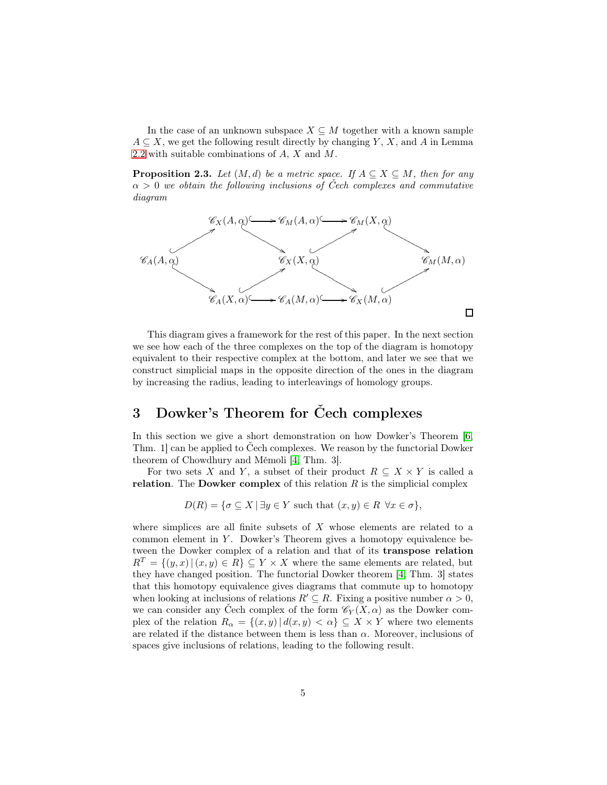In the case of an unknown subspace  $X \subseteq M$  together with a known sample  $A \subseteq X$ , we get the following result directly by changing Y, X, and A in Lemma [2.2](#page-3-0) with suitable combinations of A, X and M.

<span id="page-4-0"></span>**Proposition 2.3.** Let  $(M, d)$  be a metric space. If  $A \subseteq X \subseteq M$ , then for any  $\alpha > 0$  we obtain the following inclusions of Čech complexes and commutative diagram



This diagram gives a framework for the rest of this paper. In the next section we see how each of the three complexes on the top of the diagram is homotopy equivalent to their respective complex at the bottom, and later we see that we construct simplicial maps in the opposite direction of the ones in the diagram by increasing the radius, leading to interleavings of homology groups.

## 3 Dowker's Theorem for Čech complexes

In this section we give a short demonstration on how Dowker's Theorem [\[6,](#page-14-2) Thm. 1] can be applied to Čech complexes. We reason by the functorial Dowker theorem of Chowdhury and Mémoli [\[4,](#page-14-4) Thm. 3].

For two sets X and Y, a subset of their product  $R \subseteq X \times Y$  is called a relation. The Dowker complex of this relation  $R$  is the simplicial complex

$$
D(R) = \{ \sigma \subseteq X \mid \exists y \in Y \text{ such that } (x, y) \in R \ \forall x \in \sigma \},
$$

<span id="page-4-1"></span>where simplices are all finite subsets of  $X$  whose elements are related to a common element in  $Y$ . Dowker's Theorem gives a homotopy equivalence between the Dowker complex of a relation and that of its transpose relation  $R^T = \{(y, x) | (x, y) \in R\} \subseteq Y \times X$  where the same elements are related, but they have changed position. The functorial Dowker theorem [\[4,](#page-14-4) Thm. 3] states that this homotopy equivalence gives diagrams that commute up to homotopy when looking at inclusions of relations  $R' \subseteq R$ . Fixing a positive number  $\alpha > 0$ , we can consider any Čech complex of the form  $\mathcal{C}_Y(X,\alpha)$  as the Dowker complex of the relation  $R_{\alpha} = \{(x, y) | d(x, y) < \alpha\} \subseteq X \times Y$  where two elements are related if the distance between them is less than  $\alpha$ . Moreover, inclusions of spaces give inclusions of relations, leading to the following result.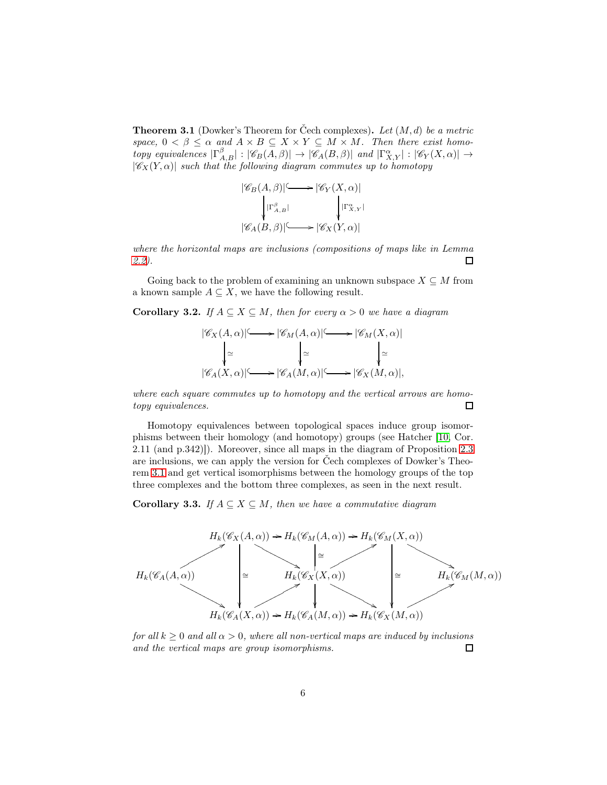**Theorem 3.1** (Dowker's Theorem for Čech complexes). Let  $(M, d)$  be a metric space,  $0 < \beta \leq \alpha$  and  $A \times B \subseteq X \times Y \subseteq M \times M$ . Then there exist homotopy equivalences  $|\Gamma_{A,B}^{\beta}|: |\mathscr{C}_B(A,\beta)| \to |\mathscr{C}_A(B,\beta)|$  and  $|\Gamma_{X,Y}^{\alpha}|: |\mathscr{C}_Y(X,\alpha)| \to$  $|\mathscr{C}_X(Y,\alpha)|$  such that the following diagram commutes up to homotopy

$$
|\mathscr{C}_B(A,\beta)| \longrightarrow |\mathscr{C}_Y(X,\alpha)|
$$
  

$$
|\Gamma_{A,B}^{\beta}| \qquad \qquad |\Gamma_{X,Y}^{\alpha}|
$$
  

$$
|\mathscr{C}_A(B,\beta)| \longrightarrow |\mathscr{C}_X(Y,\alpha)|
$$

where the horizontal maps are inclusions (compositions of maps like in Lemma [2.2\)](#page-3-0).  $\Box$ 

<span id="page-5-0"></span>Going back to the problem of examining an unknown subspace  $X \subseteq M$  from a known sample  $A \subseteq X$ , we have the following result.

**Corollary 3.2.** If  $A \subseteq X \subseteq M$ , then for every  $\alpha > 0$  we have a diagram

$$
|\mathscr{C}_X(A,\alpha)| \longrightarrow |\mathscr{C}_M(A,\alpha)| \longrightarrow |\mathscr{C}_M(X,\alpha)|
$$
  
\n
$$
\downarrow \simeq \qquad \qquad |\simeq \qquad \qquad |\simeq
$$
  
\n
$$
|\mathscr{C}_A(X,\alpha)| \longrightarrow |\mathscr{C}_A(M,\alpha)| \longrightarrow |\mathscr{C}_X(M,\alpha)|,
$$

where each square commutes up to homotopy and the vertical arrows are homotopy equivalences. 口

Homotopy equivalences between topological spaces induce group isomorphisms between their homology (and homotopy) groups (see Hatcher [\[10,](#page-15-7) Cor. 2.11 (and p.342)]). Moreover, since all maps in the diagram of Proposition [2.3](#page-4-0) are inclusions, we can apply the version for Čech complexes of Dowker's Theorem [3.1](#page-4-1) and get vertical isomorphisms between the homology groups of the top three complexes and the bottom three complexes, as seen in the next result.

<span id="page-5-1"></span>**Corollary 3.3.** If  $A \subseteq X \subseteq M$ , then we have a commutative diagram



for all  $k > 0$  and all  $\alpha > 0$ , where all non-vertical maps are induced by inclusions and the vertical maps are group isomorphisms.  $\Box$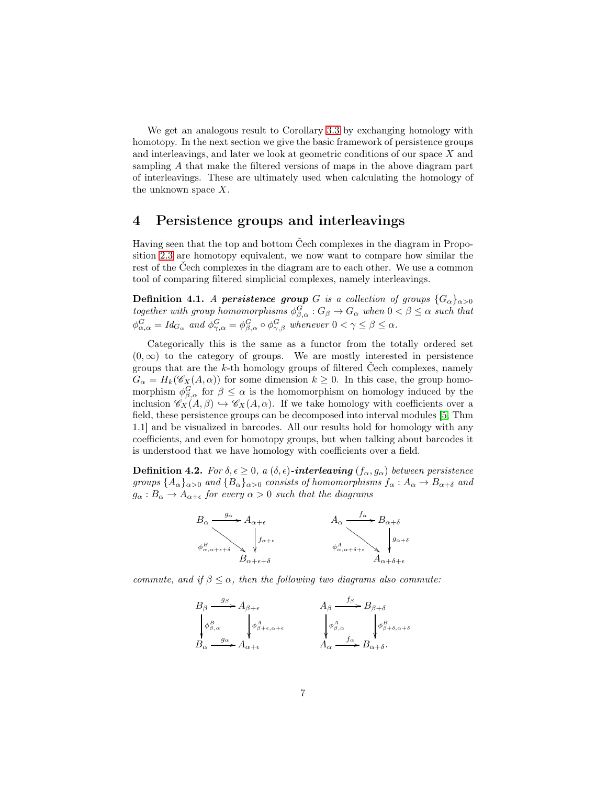We get an analogous result to Corollary [3.3](#page-5-1) by exchanging homology with homotopy. In the next section we give the basic framework of persistence groups and interleavings, and later we look at geometric conditions of our space X and sampling A that make the filtered versions of maps in the above diagram part of interleavings. These are ultimately used when calculating the homology of the unknown space X.

#### 4 Persistence groups and interleavings

Having seen that the top and bottom Čech complexes in the diagram in Proposition [2.3](#page-4-0) are homotopy equivalent, we now want to compare how similar the rest of the Čech complexes in the diagram are to each other. We use a common tool of comparing filtered simplicial complexes, namely interleavings.

**Definition 4.1.** A persistence group G is a collection of groups  $\{G_{\alpha}\}_{{\alpha}>0}$ together with group homomorphisms  $\phi_{\beta,\alpha}^G : G_\beta \to G_\alpha$  when  $0 < \beta \leq \alpha$  such that  $\phi_{\alpha,\alpha}^G = Id_{G_\alpha}$  and  $\phi_{\gamma,\alpha}^G = \phi_{\beta,\alpha}^G \circ \phi_{\gamma,\beta}^G$  whenever  $0 < \gamma \leq \beta \leq \alpha$ .

Categorically this is the same as a functor from the totally ordered set  $(0, \infty)$  to the category of groups. We are mostly interested in persistence groups that are the k-th homology groups of filtered Čech complexes, namely  $G_{\alpha} = H_k(\mathscr{C}_X(A, \alpha))$  for some dimension  $k \geq 0$ . In this case, the group homomorphism  $\phi_{\beta,\alpha}^G$  for  $\beta \leq \alpha$  is the homomorphism on homology induced by the inclusion  $\mathscr{C}_X(A,\beta) \hookrightarrow \mathscr{C}_X(A,\alpha)$ . If we take homology with coefficients over a field, these persistence groups can be decomposed into interval modules [\[5,](#page-14-5) Thm 1.1] and be visualized in barcodes. All our results hold for homology with any coefficients, and even for homotopy groups, but when talking about barcodes it is understood that we have homology with coefficients over a field.

**Definition 4.2.** For  $\delta, \epsilon \geq 0$ , a  $(\delta, \epsilon)$ -interleaving  $(f_{\alpha}, g_{\alpha})$  between persistence groups  ${A_{\alpha}}_{\alpha>0}$  and  ${B_{\alpha}}_{\alpha>0}$  consists of homomorphisms  $f_{\alpha}: A_{\alpha} \to B_{\alpha+\delta}$  and  $g_{\alpha}: B_{\alpha} \to A_{\alpha+\epsilon}$  for every  $\alpha > 0$  such that the diagrams



commute, and if  $\beta \leq \alpha$ , then the following two diagrams also commute:

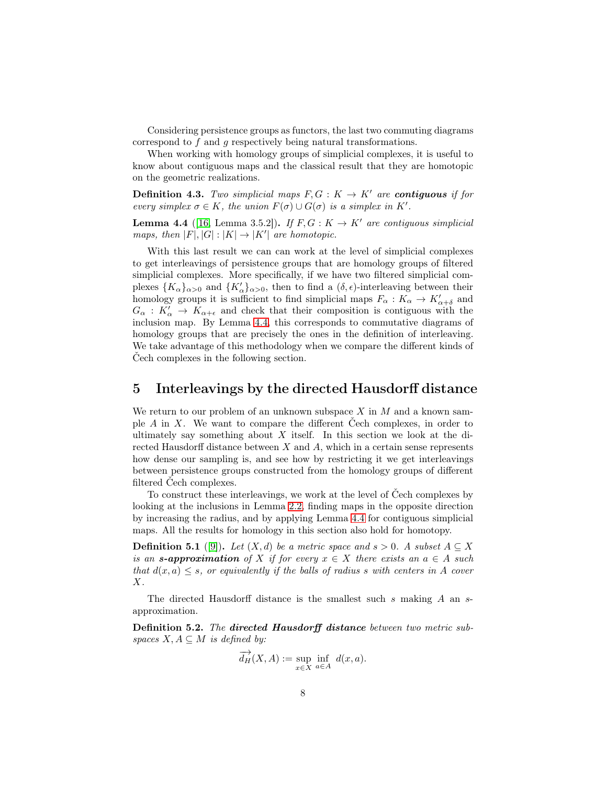Considering persistence groups as functors, the last two commuting diagrams correspond to f and g respectively being natural transformations.

When working with homology groups of simplicial complexes, it is useful to know about contiguous maps and the classical result that they are homotopic on the geometric realizations.

**Definition 4.3.** Two simplicial maps  $F, G: K \to K'$  are **contiguous** if for every simplex  $\sigma \in K$ , the union  $F(\sigma) \cup G(\sigma)$  is a simplex in K'.

<span id="page-7-0"></span>**Lemma 4.4** ([\[16,](#page-15-6) Lemma 3.5.2]). If  $F, G: K \to K'$  are contiguous simplicial maps, then  $|F|, |G| : |K| \to |K'|$  are homotopic.

With this last result we can can work at the level of simplicial complexes to get interleavings of persistence groups that are homology groups of filtered simplicial complexes. More specifically, if we have two filtered simplicial complexes  ${K_{\alpha}}_{\alpha>0}$  and  ${K'_{\alpha}}_{\alpha>0}$ , then to find a  $(\delta, \epsilon)$ -interleaving between their homology groups it is sufficient to find simplicial maps  $F_{\alpha}: K_{\alpha} \to K'_{\alpha+\delta}$  and  $G_{\alpha}: K'_{\alpha} \to K_{\alpha+\epsilon}$  and check that their composition is contiguous with the inclusion map. By Lemma [4.4,](#page-7-0) this corresponds to commutative diagrams of homology groups that are precisely the ones in the definition of interleaving. We take advantage of this methodology when we compare the different kinds of Čech complexes in the following section.

#### 5 Interleavings by the directed Hausdorff distance

We return to our problem of an unknown subspace  $X$  in  $M$  and a known sample A in X. We want to compare the different Čech complexes, in order to ultimately say something about  $X$  itself. In this section we look at the directed Hausdorff distance between  $X$  and  $A$ , which in a certain sense represents how dense our sampling is, and see how by restricting it we get interleavings between persistence groups constructed from the homology groups of different filtered Čech complexes.

To construct these interleavings, we work at the level of Čech complexes by looking at the inclusions in Lemma [2.2,](#page-3-0) finding maps in the opposite direction by increasing the radius, and by applying Lemma [4.4](#page-7-0) for contiguous simplicial maps. All the results for homology in this section also hold for homotopy.

**Definition 5.1** ([\[9\]](#page-15-8)). Let  $(X, d)$  be a metric space and  $s > 0$ . A subset  $A \subseteq X$ is an **s-approximation** of X if for every  $x \in X$  there exists an  $a \in A$  such that  $d(x, a) \leq s$ , or equivalently if the balls of radius s with centers in A cover  $X$  .

The directed Hausdorff distance is the smallest such s making  $A$  an sapproximation.

Definition 5.2. The directed Hausdorff distance between two metric subspaces  $X, A \subseteq M$  is defined by:

$$
\overrightarrow{d_H}(X, A) := \sup_{x \in X} \inf_{a \in A} d(x, a).
$$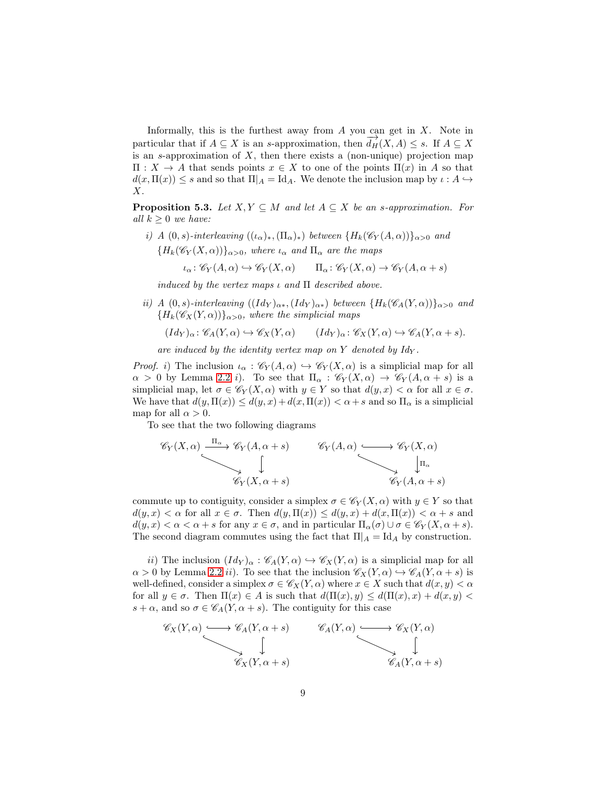Informally, this is the furthest away from  $A$  you can get in  $X$ . Note in particular that if  $A \subseteq X$  is an s-approximation, then  $\overrightarrow{d_H}(X, A) \leq s$ . If  $A \subseteq X$ is an s-approximation of  $X$ , then there exists a (non-unique) projection map  $\Pi: X \to A$  that sends points  $x \in X$  to one of the points  $\Pi(x)$  in A so that  $d(x,\Pi(x)) \leq s$  and so that  $\Pi_A = \mathrm{Id}_A$ . We denote the inclusion map by  $\iota : A \hookrightarrow$ X.

<span id="page-8-0"></span>**Proposition 5.3.** Let  $X, Y \subseteq M$  and let  $A \subseteq X$  be an s-approximation. For all  $k > 0$  we have:

i) A  $(0, s)$ -interleaving  $((\iota_{\alpha})_*, (\Pi_{\alpha})_*)$  between  ${H_k(\mathscr{C}_Y(A, \alpha))}_{\alpha>0}$  and  ${H_k(\mathscr{C}_Y(X,\alpha))}_{\alpha>0}$ , where  $\iota_\alpha$  and  $\Pi_\alpha$  are the maps

$$
\iota_\alpha\colon \mathscr{C}_Y(A,\alpha)\hookrightarrow \mathscr{C}_Y(X,\alpha)\qquad \Pi_\alpha\colon \mathscr{C}_Y(X,\alpha)\to \mathscr{C}_Y(A,\alpha+s)
$$

induced by the vertex maps  $\iota$  and  $\Pi$  described above.

ii) A (0, s)-interleaving  $((Id_Y)_{\alpha*}, (Id_Y)_{\alpha*})$  between  $\{H_k(\mathscr{C}_A(Y, \alpha))\}_{\alpha>0}$  and  ${H_k(\mathscr{C}_X(Y, \alpha))}_{\alpha>0}$ , where the simplicial maps

$$
(Id_Y)_{\alpha} \colon \mathscr{C}_A(Y, \alpha) \hookrightarrow \mathscr{C}_X(Y, \alpha) \qquad (Id_Y)_{\alpha} \colon \mathscr{C}_X(Y, \alpha) \hookrightarrow \mathscr{C}_A(Y, \alpha+s).
$$

are induced by the identity vertex map on  $Y$  denoted by  $Id_Y$ .

*Proof.* i) The inclusion  $\iota_{\alpha} : \mathscr{C}_Y(A, \alpha) \hookrightarrow \mathscr{C}_Y(X, \alpha)$  is a simplicial map for all  $\alpha > 0$  by Lemma [2.2](#page-3-0) *i*). To see that  $\Pi_{\alpha} : \mathscr{C}_Y(X, \alpha) \to \mathscr{C}_Y(A, \alpha + s)$  is a simplicial map, let  $\sigma \in \mathscr{C}_Y(X, \alpha)$  with  $y \in Y$  so that  $d(y, x) < \alpha$  for all  $x \in \sigma$ . We have that  $d(y, \Pi(x)) \leq d(y, x) + d(x, \Pi(x)) < \alpha + s$  and so  $\Pi_{\alpha}$  is a simplicial map for all  $\alpha > 0$ .

To see that the two following diagrams

$$
\mathscr{C}_Y(X,\alpha) \xrightarrow{\Pi_{\alpha}} \mathscr{C}_Y(A,\alpha+s) \qquad \mathscr{C}_Y(A,\alpha) \xrightarrow{\bigoplus_{\mathcal{C}_Y(X,\alpha)}} \mathscr{C}_Y(X,\alpha)
$$
\n
$$
\downarrow \qquad \qquad \downarrow \qquad \qquad \downarrow \qquad \qquad \downarrow \qquad \qquad \downarrow \qquad \qquad \downarrow \qquad \qquad \downarrow \qquad \qquad \downarrow \qquad \qquad \downarrow \qquad \qquad \downarrow \qquad \qquad \downarrow \qquad \qquad \downarrow \qquad \qquad \downarrow \qquad \qquad \downarrow \qquad \qquad \downarrow \qquad \qquad \downarrow \qquad \qquad \downarrow \qquad \qquad \downarrow \qquad \qquad \downarrow \qquad \qquad \downarrow \qquad \qquad \downarrow \qquad \qquad \downarrow \qquad \qquad \downarrow \qquad \qquad \downarrow \qquad \qquad \downarrow \qquad \qquad \downarrow \qquad \qquad \downarrow \qquad \downarrow \qquad \qquad \downarrow \qquad \downarrow \qquad \downarrow \qquad \downarrow \qquad \qquad \downarrow \qquad \downarrow \qquad \downarrow \qquad \downarrow \qquad \qquad \downarrow \qquad \downarrow \qquad \downarrow \qquad \downarrow \qquad \downarrow \qquad \downarrow \qquad \downarrow \qquad \downarrow \qquad \downarrow \qquad \downarrow \qquad \downarrow \qquad \downarrow \qquad \downarrow \qquad \downarrow \qquad \downarrow \qquad \downarrow \qquad \downarrow \qquad \downarrow \qquad \downarrow \qquad \downarrow \qquad \downarrow \qquad \downarrow \qquad \downarrow \qquad \downarrow \qquad \downarrow \qquad \downarrow \qquad \downarrow \qquad \downarrow \qquad \downarrow \qquad \downarrow \qquad \downarrow \qquad \downarrow \qquad \downarrow \qquad \downarrow \qquad \downarrow \qquad \downarrow \qquad \downarrow \qquad \downarrow \qquad \downarrow \qquad \downarrow \qquad \downarrow \qquad \downarrow \qquad \downarrow \qquad \downarrow \qquad \downarrow \qquad \downarrow \qquad \downarrow \qquad \downarrow \qquad \downarrow \qquad \downarrow \qquad \downarrow \qquad \downarrow \qquad \downarrow \qquad \downarrow \qquad \downarrow \qquad \downarrow \qquad \downarrow \qquad \downarrow \qquad \downarrow \qquad \downarrow \qquad \downarrow \qquad \downarrow \qquad \
$$

commute up to contiguity, consider a simplex  $\sigma \in \mathscr{C}_Y(X, \alpha)$  with  $y \in Y$  so that  $d(y, x) < \alpha$  for all  $x \in \sigma$ . Then  $d(y, \Pi(x)) \leq d(y, x) + d(x, \Pi(x)) < \alpha + s$  and  $d(y, x) < \alpha < \alpha + s$  for any  $x \in \sigma$ , and in particular  $\Pi_{\alpha}(\sigma) \cup \sigma \in \mathscr{C}_Y(X, \alpha + s)$ . The second diagram commutes using the fact that  $\Pi_A = \mathrm{Id}_A$  by construction.

ii) The inclusion  $(Id_Y)_\alpha : \mathscr{C}_A(Y, \alpha) \hookrightarrow \mathscr{C}_X(Y, \alpha)$  is a simplicial map for all  $\alpha > 0$  by Lemma [2.2](#page-3-0) ii). To see that the inclusion  $\mathscr{C}_X(Y, \alpha) \hookrightarrow \mathscr{C}_A(Y, \alpha + s)$  is well-defined, consider a simplex  $\sigma \in \mathscr{C}_X(Y, \alpha)$  where  $x \in X$  such that  $d(x, y) < \alpha$ for all  $y \in \sigma$ . Then  $\Pi(x) \in A$  is such that  $d(\Pi(x), y) \leq d(\Pi(x), x) + d(x, y)$  $s + \alpha$ , and so  $\sigma \in \mathcal{C}_A(Y, \alpha + s)$ . The contiguity for this case

$$
\mathscr{C}_X(Y,\alpha) \longrightarrow \mathscr{C}_A(Y,\alpha+s) \qquad \mathscr{C}_A(Y,\alpha) \longrightarrow \mathscr{C}_X(Y,\alpha)
$$
  

$$
\downarrow \qquad \qquad \downarrow \qquad \qquad \downarrow
$$
  

$$
\mathscr{C}_X(Y,\alpha+s) \qquad \qquad \mathscr{C}_A(Y,\alpha+s)
$$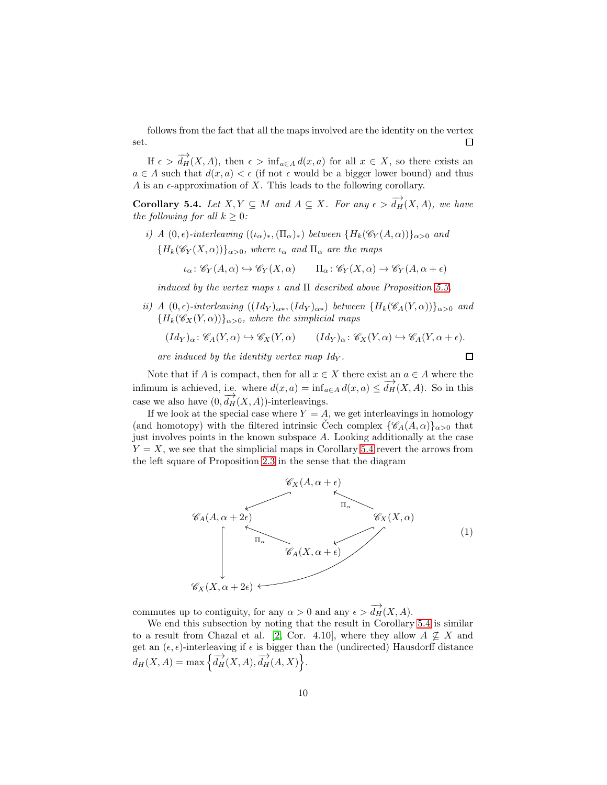follows from the fact that all the maps involved are the identity on the vertex set. П

If  $\epsilon > \overrightarrow{d_H}(X, A)$ , then  $\epsilon > \inf_{a \in A} d(x, a)$  for all  $x \in X$ , so there exists an  $a \in A$  such that  $d(x, a) < \epsilon$  (if not  $\epsilon$  would be a bigger lower bound) and thus A is an  $\epsilon$ -approximation of X. This leads to the following corollary.

<span id="page-9-0"></span>**Corollary 5.4.** Let  $X, Y \subseteq M$  and  $A \subseteq X$ . For any  $\epsilon > d_H^{\rightarrow}(X, A)$ , we have the following for all  $k \geq 0$ :

i) A  $(0, \epsilon)$ -interleaving  $((\iota_{\alpha})_*, (\Pi_{\alpha})_*)$  between  $\{H_k(\mathscr{C}_Y(A, \alpha))\}_{\alpha>0}$  and  ${H_k(\mathscr{C}_Y(X,\alpha))\}_{\alpha>0}$ , where  $\iota_\alpha$  and  $\Pi_\alpha$  are the maps

$$
\iota_{\alpha} \colon \mathscr{C}_{Y}(A,\alpha) \hookrightarrow \mathscr{C}_{Y}(X,\alpha) \qquad \Pi_{\alpha} \colon \mathscr{C}_{Y}(X,\alpha) \to \mathscr{C}_{Y}(A,\alpha+\epsilon)
$$

induced by the vertex maps  $\iota$  and  $\Pi$  described above Proposition [5.3.](#page-8-0)

ii) A  $(0, \epsilon)$ -interleaving  $((Id_Y)_{\alpha*}, (Id_Y)_{\alpha*})$  between  ${H_k(\mathscr{C}_A(Y, \alpha))}_{\alpha>0}$  and  ${H_k(\mathscr{C}_X(Y, \alpha))}_{\alpha>0}$ , where the simplicial maps

$$
(Id_Y)_{\alpha} \colon \mathscr{C}_A(Y, \alpha) \hookrightarrow \mathscr{C}_X(Y, \alpha) \qquad (Id_Y)_{\alpha} \colon \mathscr{C}_X(Y, \alpha) \hookrightarrow \mathscr{C}_A(Y, \alpha + \epsilon).
$$

 $\Box$ 

are induced by the identity vertex map  $Id_V$ .

Note that if A is compact, then for all  $x \in X$  there exist an  $a \in A$  where the infimum is achieved, i.e. where  $d(x, a) = \inf_{a \in A} d(x, a) \leq \overrightarrow{d_H}(X, A)$ . So in this case we also have  $(0, \overrightarrow{d_H}(X, A))$ -interleavings.

If we look at the special case where  $Y = A$ , we get interleavings in homology (and homotopy) with the filtered intrinsic Čech complex  $\{\mathscr{C}_A(A,\alpha)\}_{\alpha>0}$  that just involves points in the known subspace A. Looking additionally at the case  $Y = X$ , we see that the simplicial maps in Corollary [5.4](#page-9-0) revert the arrows from the left square of Proposition [2.3](#page-4-0) in the sense that the diagram



commutes up to contiguity, for any  $\alpha > 0$  and any  $\epsilon > \overrightarrow{d_H}(X, A)$ .

We end this subsection by noting that the result in Corollary [5.4](#page-9-0) is similar to a result from Chazal et al. [\[2,](#page-14-3) Cor. 4.10], where they allow  $A \nsubseteq X$  and get an  $(\epsilon, \epsilon)$ -interleaving if  $\epsilon$  is bigger than the (undirected) Hausdorff distance  $d_H(X, A) = \max \left\{ \overrightarrow{d_H}(X, A), \overrightarrow{d_H}(A, X) \right\}.$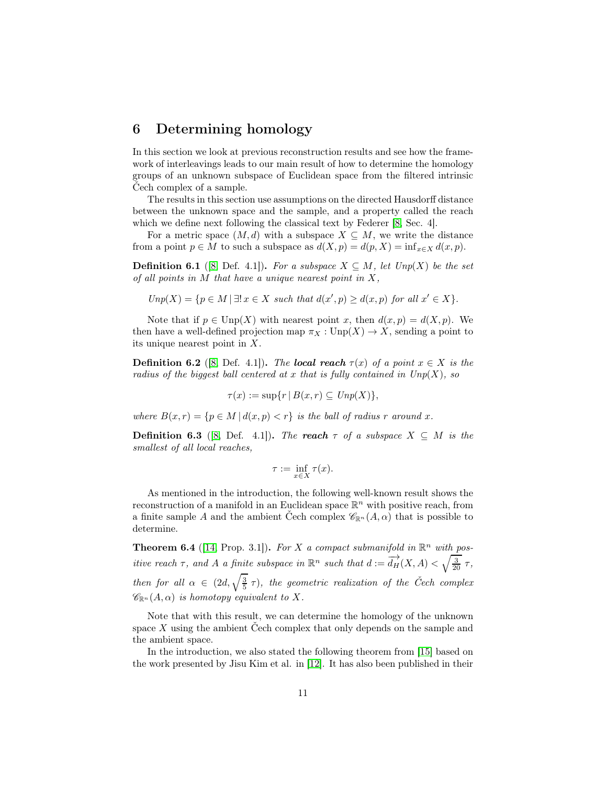#### 6 Determining homology

In this section we look at previous reconstruction results and see how the framework of interleavings leads to our main result of how to determine the homology groups of an unknown subspace of Euclidean space from the filtered intrinsic Cech complex of a sample.

The results in this section use assumptions on the directed Hausdorff distance between the unknown space and the sample, and a property called the reach which we define next following the classical text by Federer [\[8,](#page-15-2) Sec. 4].

For a metric space  $(M, d)$  with a subspace  $X \subseteq M$ , we write the distance from a point  $p \in M$  to such a subspace as  $d(X, p) = d(p, X) = \inf_{x \in X} d(x, p)$ .

**Definition 6.1** ([\[8,](#page-15-2) Def. 4.1]). For a subspace  $X \subseteq M$ , let  $Unp(X)$  be the set of all points in  $M$  that have a unique nearest point in  $X$ ,

$$
Unp(X) = \{ p \in M \mid \exists ! \ x \in X \ such \ that \ d(x',p) \ge d(x,p) \ for \ all \ x' \in X \}.
$$

Note that if  $p \in \text{Unp}(X)$  with nearest point x, then  $d(x, p) = d(X, p)$ . We then have a well-defined projection map  $\pi_X : \text{Unp}(X) \to X$ , sending a point to its unique nearest point in X.

**Definition 6.2** ([\[8,](#page-15-2) Def. 4.1]). The **local reach**  $\tau(x)$  of a point  $x \in X$  is the radius of the biggest ball centered at x that is fully contained in  $Unp(X)$ , so

$$
\tau(x) := \sup\{r \,|\, B(x,r) \subseteq \text{Unp}(X)\},\
$$

where  $B(x, r) = \{p \in M \mid d(x, p) < r\}$  is the ball of radius r around x.

**Definition 6.3** ([\[8,](#page-15-2) Def. 4.1]). The reach  $\tau$  of a subspace  $X \subseteq M$  is the smallest of all local reaches,

$$
\tau := \inf_{x \in X} \tau(x).
$$

As mentioned in the introduction, the following well-known result shows the reconstruction of a manifold in an Euclidean space  $\mathbb{R}^n$  with positive reach, from a finite sample A and the ambient Cech complex  $\mathscr{C}_{\mathbb{R}^n}(A,\alpha)$  that is possible to determine.

<span id="page-10-0"></span>**Theorem 6.4** ([\[14,](#page-15-3) Prop. 3.1]). For X a compact submanifold in  $\mathbb{R}^n$  with positive reach  $\tau$ , and A a finite subspace in  $\mathbb{R}^n$  such that  $d := \frac{d}{d}H(X, A) < \sqrt{\frac{3}{20}} \tau$ , then for all  $\alpha \in (2d, \sqrt{\frac{3}{5}} \tau)$ , the geometric realization of the Čech complex  $\mathscr{C}_{\mathbb{R}^n}(A,\alpha)$  is homotopy equivalent to X.

Note that with this result, we can determine the homology of the unknown space  $X$  using the ambient Čech complex that only depends on the sample and the ambient space.

In the introduction, we also stated the following theorem from [\[15\]](#page-15-5) based on the work presented by Jisu Kim et al. in [\[12\]](#page-15-9). It has also been published in their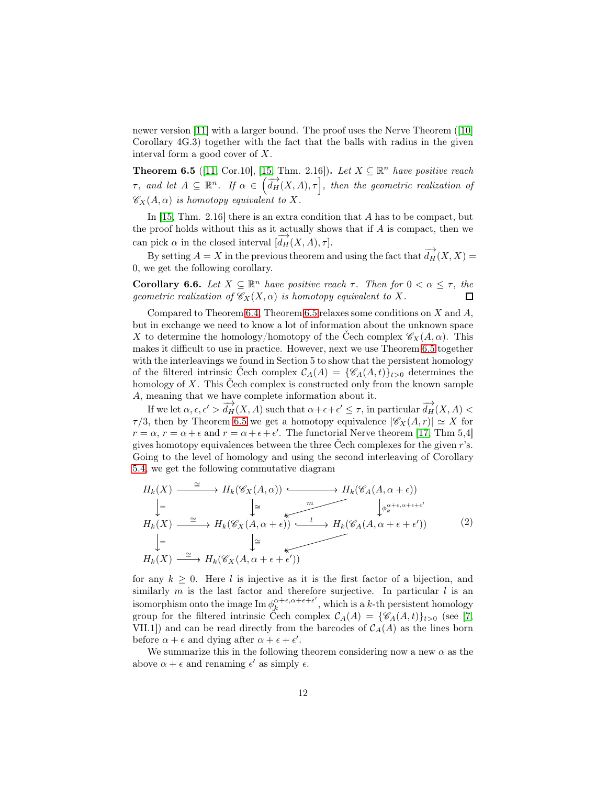newer version [\[11\]](#page-15-4) with a larger bound. The proof uses the Nerve Theorem ([\[10\]](#page-15-7) Corollary 4G.3) together with the fact that the balls with radius in the given interval form a good cover of X.

<span id="page-11-0"></span>**Theorem 6.5** ([\[11,](#page-15-4) Cor.10], [\[15,](#page-15-5) Thm. 2.16]). Let  $X \subseteq \mathbb{R}^n$  have positive reach  $\tau$ , and let  $A \subseteq \mathbb{R}^n$ . If  $\alpha \in (\overrightarrow{d_H}(X, A), \tau)$ , then the geometric realization of  $\mathscr{C}_X(A, \alpha)$  is homotopy equivalent to X.

In [\[15,](#page-15-5) Thm. 2.16] there is an extra condition that A has to be compact, but the proof holds without this as it actually shows that if A is compact, then we can pick  $\alpha$  in the closed interval  $[\overrightarrow{d}_{H}(X, A), \tau]$ .

By setting  $A = X$  in the previous theorem and using the fact that  $\overrightarrow{d_H}(X, X) =$ 0, we get the following corollary.

<span id="page-11-2"></span>**Corollary 6.6.** Let  $X \subseteq \mathbb{R}^n$  have positive reach  $\tau$ . Then for  $0 < \alpha \leq \tau$ , then geometric realization of  $\mathscr{C}_X(X, \alpha)$  is homotopy equivalent to X.  $\Box$ 

Compared to Theorem [6.4,](#page-10-0) Theorem [6.5](#page-11-0) relaxes some conditions on  $X$  and  $A$ , but in exchange we need to know a lot of information about the unknown space X to determine the homology/homotopy of the Čech complex  $\mathscr{C}_X(A, \alpha)$ . This makes it difficult to use in practice. However, next we use Theorem [6.5](#page-11-0) together with the interleavings we found in Section 5 to show that the persistent homology of the filtered intrinsic Čech complex  $\mathcal{C}_A(A) = \{ \mathscr{C}_A(A,t) \}_{t>0}$  determines the homology of  $X$ . This Čech complex is constructed only from the known sample A, meaning that we have complete information about it.

If we let  $\alpha, \epsilon, \epsilon' > \overrightarrow{d_H}(X, A)$  such that  $\alpha + \epsilon + \epsilon' \leq \tau$ , in particular  $\overrightarrow{d_H}(X, A) <$  $\tau/3$ , then by Theorem [6.5](#page-11-0) we get a homotopy equivalence  $|\mathscr{C}_X(A,r)| \simeq X$  for  $r = \alpha$ ,  $r = \alpha + \epsilon$  and  $r = \alpha + \epsilon + \epsilon'$ . The functorial Nerve theorem [\[17,](#page-15-10) Thm 5,4] gives homotopy equivalences between the three Čech complexes for the given r's. Going to the level of homology and using the second interleaving of Corollary [5.4,](#page-9-0) we get the following commutative diagram

$$
H_k(X) \xrightarrow{\cong} H_k(\mathscr{C}_X(A, \alpha)) \xrightarrow{\cong} H_k(\mathscr{C}_A(A, \alpha + \epsilon))
$$
  
\n
$$
\downarrow = \qquad \qquad \downarrow \xrightarrow{\cong} H_k(\mathscr{C}_X(A, \alpha + \epsilon)) \xrightarrow{\cong} H_k(\mathscr{C}_A(A, \alpha + \epsilon + \epsilon'))
$$
  
\n
$$
\downarrow = \qquad \qquad \downarrow \xrightarrow{\cong} H_k(\mathscr{C}_X(A, \alpha + \epsilon + \epsilon'))
$$
  
\n
$$
H_k(X) \xrightarrow{\cong} H_k(\mathscr{C}_X(A, \alpha + \epsilon + \epsilon'))
$$
  
\n
$$
(2)
$$

for any  $k \geq 0$ . Here l is injective as it is the first factor of a bijection, and similarly  $m$  is the last factor and therefore surjective. In particular  $l$  is an isomorphism onto the image  $\text{Im } \phi_k^{\alpha+\epsilon,\alpha+\epsilon+\epsilon'}$  $\frac{\alpha+\epsilon,\alpha+\epsilon+\epsilon}{k}$ , which is a k-th persistent homology group for the filtered intrinsic Čech complex  $C_A(A) = \{ \mathscr{C}_A(A,t) \}_{t>0}$  (see [\[7,](#page-15-0) VII.1) and can be read directly from the barcodes of  $C_A(A)$  as the lines born before  $\alpha + \epsilon$  and dying after  $\alpha + \epsilon + \epsilon'$ .

<span id="page-11-1"></span>We summarize this in the following theorem considering now a new  $\alpha$  as the above  $\alpha + \epsilon$  and renaming  $\epsilon'$  as simply  $\epsilon$ .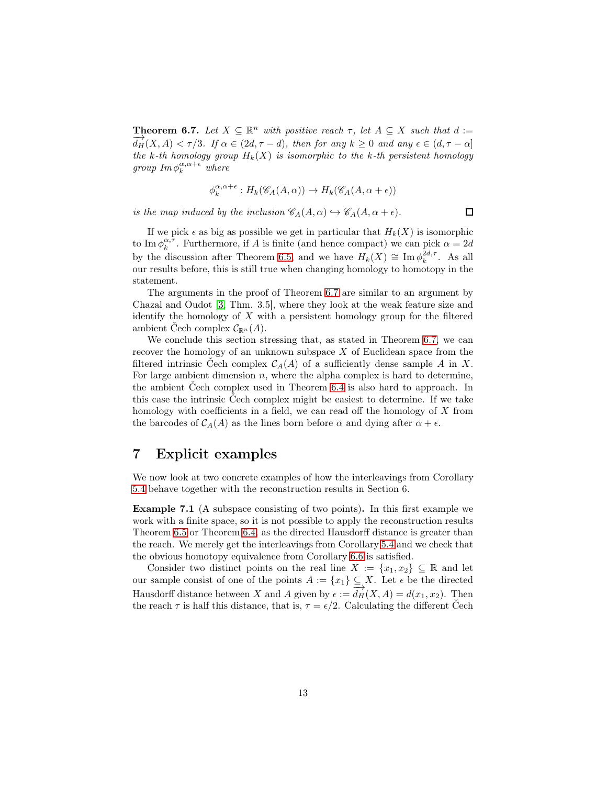**Theorem 6.7.** Let  $X \subseteq \mathbb{R}^n$  with positive reach  $\tau$ , let  $A \subseteq X$  such that  $d :=$  $\overrightarrow{d_H}(X,A) < \tau/3$ . If  $\alpha \in (2d, \tau - d)$ , then for any  $k \geq 0$  and any  $\epsilon \in (d, \tau - \alpha]$ the k-th homology group  $H_k(X)$  is isomorphic to the k-th persistent homology group  $\text{Im}\,\phi_k^{\alpha,\alpha+\epsilon}$  where

$$
\phi_k^{\alpha, \alpha + \epsilon} : H_k(\mathscr{C}_A(A, \alpha)) \to H_k(\mathscr{C}_A(A, \alpha + \epsilon))
$$

is the map induced by the inclusion  $\mathcal{C}_A(A, \alpha) \hookrightarrow \mathcal{C}_A(A, \alpha + \epsilon)$ .

If we pick  $\epsilon$  as big as possible we get in particular that  $H_k(X)$  is isomorphic to Im  $\phi_k^{\alpha, \tau}$ . Furthermore, if A is finite (and hence compact) we can pick  $\alpha = 2d$ by the discussion after Theorem [6.5,](#page-11-0) and we have  $H_k(X) \cong \text{Im } \phi_k^{2d,\tau}$ . As all our results before, this is still true when changing homology to homotopy in the statement.

The arguments in the proof of Theorem [6.7](#page-11-1) are similar to an argument by Chazal and Oudot [\[3,](#page-14-1) Thm. 3.5], where they look at the weak feature size and identify the homology of  $X$  with a persistent homology group for the filtered ambient Cech complex  $\mathcal{C}_{\mathbb{R}^n}(A)$ .

We conclude this section stressing that, as stated in Theorem [6.7,](#page-11-1) we can recover the homology of an unknown subspace  $X$  of Euclidean space from the filtered intrinsic Cech complex  $C_A(A)$  of a sufficiently dense sample A in X. For large ambient dimension  $n$ , where the alpha complex is hard to determine, the ambient Čech complex used in Theorem [6.4](#page-10-0) is also hard to approach. In this case the intrinsic Čech complex might be easiest to determine. If we take homology with coefficients in a field, we can read off the homology of  $X$  from the barcodes of  $C_A(A)$  as the lines born before  $\alpha$  and dying after  $\alpha + \epsilon$ .

### 7 Explicit examples

<span id="page-12-0"></span>We now look at two concrete examples of how the interleavings from Corollary [5.4](#page-9-0) behave together with the reconstruction results in Section 6.

Example 7.1 (A subspace consisting of two points). In this first example we work with a finite space, so it is not possible to apply the reconstruction results Theorem [6.5](#page-11-0) or Theorem [6.4,](#page-10-0) as the directed Hausdorff distance is greater than the reach. We merely get the interleavings from Corollary [5.4](#page-9-0) and we check that the obvious homotopy equivalence from Corollary [6.6](#page-11-2) is satisfied.

Consider two distinct points on the real line  $X := \{x_1, x_2\} \subseteq \mathbb{R}$  and let our sample consist of one of the points  $A := \{x_1\} \subseteq X$ . Let  $\epsilon$  be the directed Hausdorff distance between X and A given by  $\epsilon := \frac{1}{d}H(X, A) = d(x_1, x_2)$ . Then the reach  $\tau$  is half this distance, that is,  $\tau = \epsilon/2$ . Calculating the different Čech

 $\Box$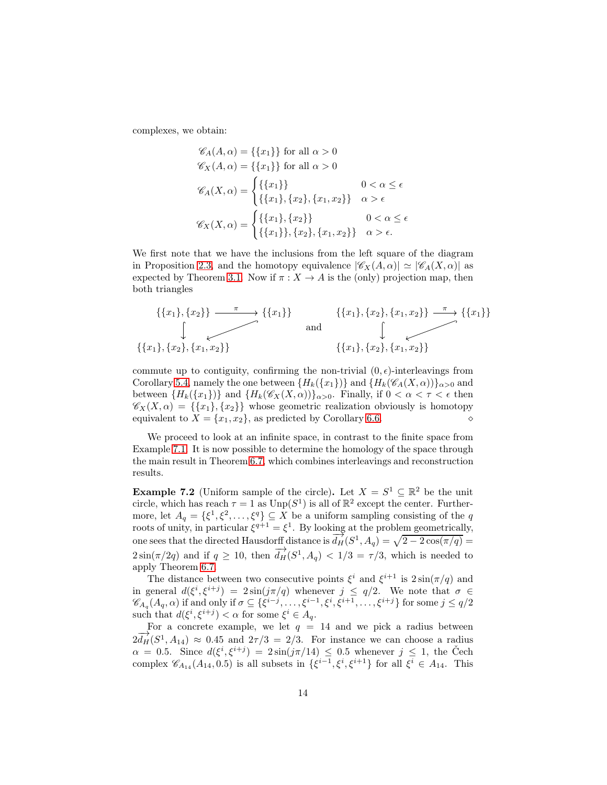complexes, we obtain:

$$
\mathcal{C}_A(A, \alpha) = \{\{x_1\}\}\n\text{ for all } \alpha > 0
$$
\n
$$
\mathcal{C}_X(A, \alpha) = \{\{x_1\}\}\n\text{ for all } \alpha > 0
$$
\n
$$
\mathcal{C}_A(X, \alpha) = \begin{cases}\n\{\{x_1\}\} & 0 < \alpha \le \epsilon \\
\{\{x_1\}, \{x_2\}, \{x_1, x_2\}\} & \alpha > \epsilon\n\end{cases}
$$
\n
$$
\mathcal{C}_X(X, \alpha) = \begin{cases}\n\{\{x_1\}, \{x_2\}\} & 0 < \alpha \le \epsilon \\
\{\{x_1\}, \{x_2\}, \{x_1, x_2\}\} & \alpha > \epsilon.\n\end{cases}
$$

We first note that we have the inclusions from the left square of the diagram in Proposition [2.3,](#page-4-0) and the homotopy equivalence  $|\mathscr{C}_X(A,\alpha)| \simeq |\mathscr{C}_A(X,\alpha)|$  as expected by Theorem [3.1.](#page-4-1) Now if  $\pi : X \to A$  is the (only) projection map, then both triangles

$$
\{\{x_1\}, \{x_2\}\} \xrightarrow{\pi} \{\{x_1\}\} \{\{x_1\}, \{x_2\}, \{x_1, x_2\}\} \xrightarrow{\pi} \{\{x_1\}, \{x_2\}, \{x_1, x_2\}\} \{\{x_1\}, \{x_2\}, \{x_1, x_2\}\} \{\{x_1\}, \{x_2\}, \{x_1, x_2\}\}
$$

commute up to contiguity, confirming the non-trivial  $(0, \epsilon)$ -interleavings from Corollary [5.4,](#page-9-0) namely the one between  ${H_k({x_1})\}\$ and  ${H_k(\mathscr{C}_A(X, \alpha))}_{\alpha>0}$  and between  ${H_k({x_1})}$  and  ${H_k(\mathscr{C}_X(X,\alpha))}_{\alpha>0}$ . Finally, if  $0<\alpha<\tau<\epsilon$  then  $\mathscr{C}_X(X,\alpha) = \{\{x_1\},\{x_2\}\}\$  whose geometric realization obviously is homotopy equivalent to X = {x1, x2}, as predicted by Corollary [6.6.](#page-11-2) ⋄

We proceed to look at an infinite space, in contrast to the finite space from Example [7.1.](#page-12-0) It is now possible to determine the homology of the space through the main result in Theorem [6.7,](#page-11-1) which combines interleavings and reconstruction results.

**Example 7.2** (Uniform sample of the circle). Let  $X = S^1 \subseteq \mathbb{R}^2$  be the unit circle, which has reach  $\tau = 1$  as  $\text{Unp}(S^1)$  is all of  $\mathbb{R}^2$  except the center. Furthermore, let  $A_q = \{\xi^1, \xi^2, \dots, \xi^q\} \subseteq X$  be a uniform sampling consisting of the q roots of unity, in particular  $\xi^{q+1} = \xi^1$ . By looking at the problem geometrically, one sees that the directed Hausdorff distance is  $\overrightarrow{d_H}(S^1, A_q) = \sqrt{2 - 2\cos(\pi/q)}$  $2\sin(\pi/2q)$  and if  $q \ge 10$ , then  $\overrightarrow{d_H}(S^1, A_q) < 1/3 = \tau/3$ , which is needed to apply Theorem [6.7.](#page-11-1)

The distance between two consecutive points  $\xi^{i}$  and  $\xi^{i+1}$  is  $2\sin(\pi/q)$  and in general  $d(\xi^i, \xi^{i+j}) = 2\sin(j\pi/q)$  whenever  $j \leq q/2$ . We note that  $\sigma \in$  $\mathscr{C}_{A_q}(A_q,\alpha)$  if and only if  $\sigma \subseteq {\{\xi^{i-j},\ldots,\xi^{i-1},\xi^{i},\xi^{i+1},\ldots,\xi^{i+j}\}}$  for some  $j \leq q/2$ such that  $d(\xi^i, \xi^{i+j}) < \alpha$  for some  $\xi^i \in A_q$ .

For a concrete example, we let  $q = 14$  and we pick a radius between  $2\overrightarrow{d_H}(S^1, A_{14}) \approx 0.45$  and  $2\tau/3 = 2/3$ . For instance we can choose a radius  $\alpha = 0.5$ . Since  $d(\xi^i, \xi^{i+j}) = 2\sin(j\pi/14) \leq 0.5$  whenever  $j \leq 1$ , the Čech complex  $\mathscr{C}_{A_{14}}(A_{14}, 0.5)$  is all subsets in  $\{\xi^{i-1}, \xi^i, \xi^{i+1}\}$  for all  $\xi^i \in A_{14}$ . This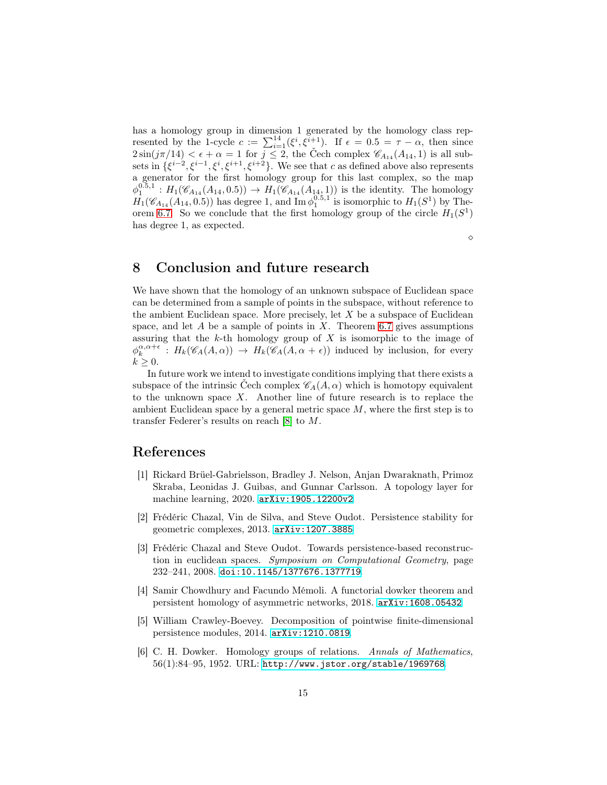has a homology group in dimension 1 generated by the homology class represented by the 1-cycle  $c := \sum_{i=1}^{14} (\xi^i, \xi^{i+1})$ . If  $\epsilon = 0.5 = \tau - \alpha$ , then since  $2\sin(j\pi/14) < \epsilon + \alpha = 1$  for  $j \leq 2$ , the Čech complex  $\mathscr{C}_{A_{14}}(A_{14}, 1)$  is all subsets in  $\{\xi^{i-2}, \xi^{i-1}, \xi^i, \xi^{i+1}, \xi^{i+2}\}\$ . We see that c as defined above also represents a generator for the first homology group for this last complex, so the map  $\phi_1^{0.5,1}: H_1(\mathscr{C}_{A_{14}}(A_{14}, 0.5)) \to H_1(\mathscr{C}_{A_{14}}(A_{14}, 1))$  is the identity. The homology  $H_1(\mathscr{C}_{A_{14}}(A_{14}, 0.5))$  has degree 1, and Im  $\phi_1^{0.5,1'}$  is isomorphic to  $H_1(S^1)$  by The-orem [6.7.](#page-11-1) So we conclude that the first homology group of the circle  $H_1(S^1)$ has degree 1, as expected.

⋄

### 8 Conclusion and future research

We have shown that the homology of an unknown subspace of Euclidean space can be determined from a sample of points in the subspace, without reference to the ambient Euclidean space. More precisely, let  $X$  be a subspace of Euclidean space, and let A be a sample of points in X. Theorem [6.7](#page-11-1) gives assumptions assuring that the  $k$ -th homology group of  $X$  is isomorphic to the image of  $\phi_k^{\alpha,\alpha+\epsilon}$ :  $H_k(\mathscr{C}_A(A,\alpha)) \to H_k(\mathscr{C}_A(A,\alpha+\epsilon))$  induced by inclusion, for every  $k \geq 0$ .

In future work we intend to investigate conditions implying that there exists a subspace of the intrinsic Čech complex  $\mathscr{C}_A(A, \alpha)$  which is homotopy equivalent to the unknown space  $X$ . Another line of future research is to replace the ambient Euclidean space by a general metric space  $M$ , where the first step is to transfer Federer's results on reach [\[8\]](#page-15-2) to M.

#### <span id="page-14-0"></span>References

- [1] Rickard Brüel-Gabrielsson, Bradley J. Nelson, Anjan Dwaraknath, Primoz Skraba, Leonidas J. Guibas, and Gunnar Carlsson. A topology layer for machine learning, 2020. [arXiv:1905.12200v2](http://arxiv.org/abs/1905.12200v2).
- <span id="page-14-3"></span>[2] Frédéric Chazal, Vin de Silva, and Steve Oudot. Persistence stability for geometric complexes, 2013. [arXiv:1207.3885](http://arxiv.org/abs/1207.3885).
- <span id="page-14-1"></span>[3] Frédéric Chazal and Steve Oudot. Towards persistence-based reconstruction in euclidean spaces. Symposium on Computational Geometry, page 232–241, 2008. [doi:10.1145/1377676.1377719](https://doi.org/10.1145/1377676.1377719).
- <span id="page-14-4"></span>[4] Samir Chowdhury and Facundo Mémoli. A functorial dowker theorem and persistent homology of asymmetric networks, 2018. [arXiv:1608.05432](http://arxiv.org/abs/1608.05432).
- <span id="page-14-5"></span>[5] William Crawley-Boevey. Decomposition of pointwise finite-dimensional persistence modules, 2014. [arXiv:1210.0819](http://arxiv.org/abs/1210.0819).
- <span id="page-14-2"></span>[6] C. H. Dowker. Homology groups of relations. Annals of Mathematics, 56(1):84–95, 1952. URL: <http://www.jstor.org/stable/1969768>.